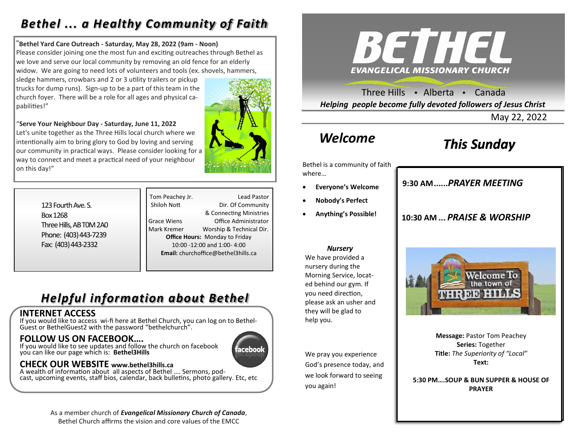### *Bethel ... a Healthy Community of Faith*

#### "**Bethel Yard Care Outreach - Saturday, May 28, 2022 (9am - Noon)**

Please consider joining one the most fun and exciting outreaches through Bethel as we love and serve our local community by removing an old fence for an elderly widow. We are going to need lots of volunteers and tools (ex. shovels, hammers,

sledge hammers, crowbars and 2 or 3 utility trailers or pickup trucks for dump runs). Sign-up to be a part of this team in the church foyer. There will be a role for all ages and physical capabilities!"

"**Serve Your Neighbour Day - Saturday, June 11, 2022** Let's unite together as the Three Hills local church where we intentionally aim to bring glory to God by loving and serving our community in practical ways. Please consider looking for a way to connect and meet a practical need of your neighbour on this day!"



123 Fourth Ave. S. Box 1268 Three Hills, AB T0M 2A0 Phone: (403) 443-7239 Fax: (403) 443-2332

Tom Peachey Jr. Lead Pastor Shiloh Nott Dir. Of Community & Connecting Ministries Grace Wiens Office Administrator Mark Kremer Worship & Technical Dir. **Office Hours:** Monday to Friday 10:00 -12:00 and 1:00- 4:00 **Email:** churchoffice@bethel3hills.ca

### *Helpful information about Bethel*

#### **INTERNET ACCESS**

If you would like to access wi-fi here at Bethel Church, you can log on to Bethel-Guest or BethelGuest2 with the password "bethelchurch".

#### **FOLLOW US ON FACEBOOK….**

If you would like to see updates and follow the church on facebook you can like our page which is: **Bethel3Hills**

# ıceboo

#### **CHECK OUR WEBSITE www.bethel3hills.ca**

A wealth of information about all aspects of Bethel …. Sermons, podcast, upcoming events, staff bios, calendar, back bulletins, photo gallery. Etc, etc

> As a member church of *Evangelical Missionary Church of Canada*, Bethel Church affirms the vision and core values of the EMCC



Three Hills  $\rightarrow$  Alberta  $\rightarrow$  Canada *Helping people become fully devoted followers of Jesus Christ*

May 22, 2022

### *Welcome*

### *This Sunday*

Bethel is a community of faith where…

- **Everyone's Welcome**
- **Nobody's Perfect**
- **Anything's Possible!**

**9:30 AM......***SUNDAY SCHOOL* **9:30 AM......***PRAYER MEETING* 

#### **10:30 AM ...** *PRAISE & WORSHIP*

#### *Nursery*

We have provided a nursery during the Morning Service, located behind our gym. If you need direction, please ask an usher and they will be glad to help you.

We pray you experience God's presence today, and we look forward to seeing you again!



**Message:** Pastor Tom Peachey **Series:** Together **Title:** *The Superiority of "Local"* **Text:** 

**5:30 PM….SOUP & BUN SUPPER & HOUSE OF PRAYER**